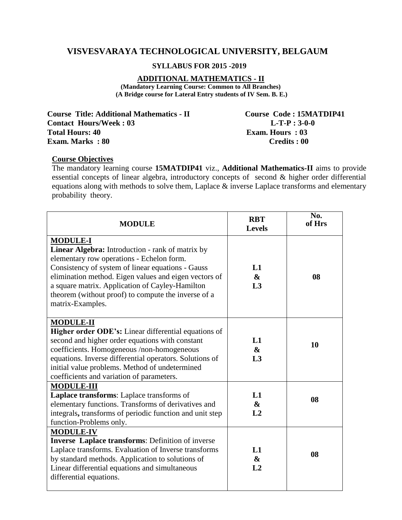# **VISVESVARAYA TECHNOLOGICAL UNIVERSITY, BELGAUM**

### **SYLLABUS FOR 2015 -2019**

#### **ADDITIONAL MATHEMATICS - II**

**(Mandatory Learning Course: Common to All Branches) (A Bridge course for Lateral Entry students of IV Sem. B. E.)**

**Course Title: Additional Mathematics - II Course Code : 15MATDIP41 Contact Hours/Week : 03 L-T-P : 3-0-0 Total Hours: 40 <b>Exam. Hours : 03 Exam. Hours : 03 Exam.** Marks : 80 **Credits : 00** 

#### **Course Objectives**

The mandatory learning course **15MATDIP41** viz., **Additional Mathematics-II** aims to provide essential concepts of linear algebra, introductory concepts of second & higher order differential equations along with methods to solve them, Laplace & inverse Laplace transforms and elementary probability theory.

| <b>MODULE</b>                                                                                                                                                                                                                                                                                                                                                | <b>RBT</b><br><b>Levels</b>               | No.<br>of Hrs |
|--------------------------------------------------------------------------------------------------------------------------------------------------------------------------------------------------------------------------------------------------------------------------------------------------------------------------------------------------------------|-------------------------------------------|---------------|
| <b>MODULE-I</b><br>Linear Algebra: Introduction - rank of matrix by<br>elementary row operations - Echelon form.<br>Consistency of system of linear equations - Gauss<br>elimination method. Eigen values and eigen vectors of<br>a square matrix. Application of Cayley-Hamilton<br>theorem (without proof) to compute the inverse of a<br>matrix-Examples. | L1<br>$\boldsymbol{\&}$<br>L3             | 08            |
| <b>MODULE-II</b><br><b>Higher order ODE's:</b> Linear differential equations of<br>second and higher order equations with constant<br>coefficients. Homogeneous /non-homogeneous<br>equations. Inverse differential operators. Solutions of<br>initial value problems. Method of undetermined<br>coefficients and variation of parameters.                   | L1<br>$\boldsymbol{\&}$<br>L3             | 10            |
| <b>MODULE-III</b><br>Laplace transforms: Laplace transforms of<br>elementary functions. Transforms of derivatives and<br>integrals, transforms of periodic function and unit step<br>function-Problems only.                                                                                                                                                 | L1<br>$\boldsymbol{\&}$<br>L2             | 08            |
| <b>MODULE-IV</b><br><b>Inverse Laplace transforms: Definition of inverse</b><br>Laplace transforms. Evaluation of Inverse transforms<br>by standard methods. Application to solutions of<br>Linear differential equations and simultaneous<br>differential equations.                                                                                        | L1<br>$\boldsymbol{\&}$<br>L <sub>2</sub> | 08            |